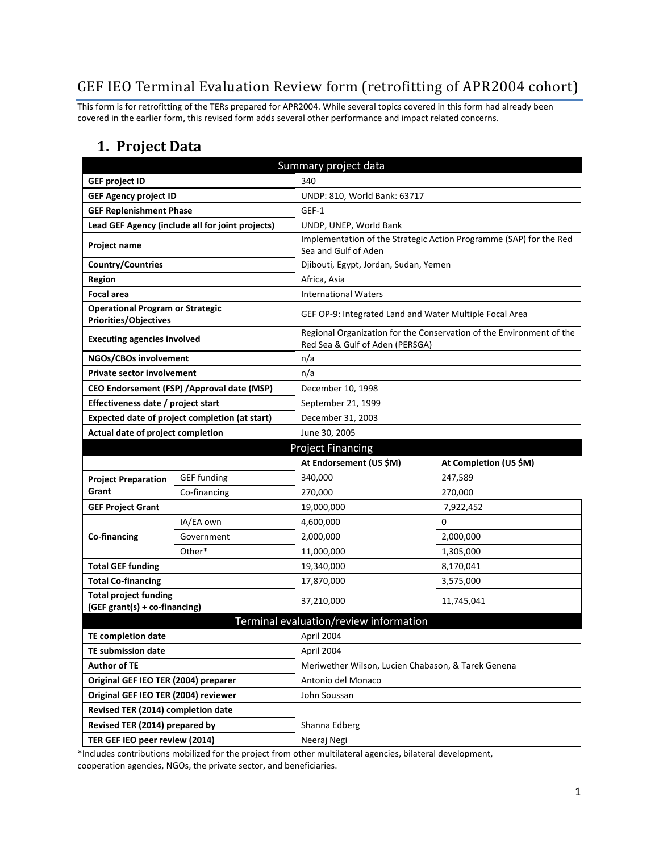## GEF IEO Terminal Evaluation Review form (retrofitting of APR2004 cohort)

This form is for retrofitting of the TERs prepared for APR2004. While several topics covered in this form had already been covered in the earlier form, this revised form adds several other performance and impact related concerns.

### **1. Project Data**

| Summary project data                                                    |                                                  |                                                         |                                                                      |  |
|-------------------------------------------------------------------------|--------------------------------------------------|---------------------------------------------------------|----------------------------------------------------------------------|--|
| <b>GEF project ID</b>                                                   |                                                  | 340                                                     |                                                                      |  |
| <b>GEF Agency project ID</b>                                            |                                                  | UNDP: 810, World Bank: 63717                            |                                                                      |  |
| <b>GEF Replenishment Phase</b>                                          |                                                  | GEF-1                                                   |                                                                      |  |
|                                                                         | Lead GEF Agency (include all for joint projects) | UNDP, UNEP, World Bank                                  |                                                                      |  |
| Project name                                                            |                                                  |                                                         | Implementation of the Strategic Action Programme (SAP) for the Red   |  |
|                                                                         |                                                  | Sea and Gulf of Aden                                    |                                                                      |  |
| <b>Country/Countries</b>                                                |                                                  | Djibouti, Egypt, Jordan, Sudan, Yemen                   |                                                                      |  |
| <b>Region</b>                                                           |                                                  | Africa, Asia                                            |                                                                      |  |
| <b>Focal area</b>                                                       |                                                  | <b>International Waters</b>                             |                                                                      |  |
| <b>Operational Program or Strategic</b><br><b>Priorities/Objectives</b> |                                                  | GEF OP-9: Integrated Land and Water Multiple Focal Area |                                                                      |  |
| <b>Executing agencies involved</b>                                      |                                                  | Red Sea & Gulf of Aden (PERSGA)                         | Regional Organization for the Conservation of the Environment of the |  |
| NGOs/CBOs involvement                                                   |                                                  | n/a                                                     |                                                                      |  |
| <b>Private sector involvement</b>                                       |                                                  | n/a                                                     |                                                                      |  |
|                                                                         | CEO Endorsement (FSP) / Approval date (MSP)      | December 10, 1998                                       |                                                                      |  |
| Effectiveness date / project start                                      |                                                  | September 21, 1999                                      |                                                                      |  |
|                                                                         | Expected date of project completion (at start)   | December 31, 2003                                       |                                                                      |  |
| Actual date of project completion                                       |                                                  | June 30, 2005                                           |                                                                      |  |
| <b>Project Financing</b>                                                |                                                  |                                                         |                                                                      |  |
|                                                                         |                                                  |                                                         |                                                                      |  |
|                                                                         |                                                  | At Endorsement (US \$M)                                 | At Completion (US \$M)                                               |  |
| <b>Project Preparation</b>                                              | <b>GEF</b> funding                               | 340,000                                                 | 247,589                                                              |  |
| Grant                                                                   | Co-financing                                     | 270,000                                                 | 270,000                                                              |  |
| <b>GEF Project Grant</b>                                                |                                                  | 19,000,000                                              | 7,922,452                                                            |  |
|                                                                         | IA/EA own                                        | 4,600,000                                               | 0                                                                    |  |
| Co-financing                                                            | Government                                       | 2,000,000                                               | 2,000,000                                                            |  |
|                                                                         | Other*                                           | 11,000,000                                              | 1,305,000                                                            |  |
| <b>Total GEF funding</b>                                                |                                                  | 19,340,000                                              | 8,170,041                                                            |  |
| <b>Total Co-financing</b>                                               |                                                  | 17,870,000                                              | 3,575,000                                                            |  |
| <b>Total project funding</b><br>(GEF grant(s) + co-financing)           |                                                  | 37,210,000                                              | 11,745,041                                                           |  |
|                                                                         |                                                  | Terminal evaluation/review information                  |                                                                      |  |
| <b>TE completion date</b>                                               |                                                  | April 2004                                              |                                                                      |  |
| TE submission date                                                      |                                                  | April 2004                                              |                                                                      |  |
| <b>Author of TE</b>                                                     |                                                  | Meriwether Wilson, Lucien Chabason, & Tarek Genena      |                                                                      |  |
| Original GEF IEO TER (2004) preparer                                    |                                                  | Antonio del Monaco                                      |                                                                      |  |
| Original GEF IEO TER (2004) reviewer                                    |                                                  | John Soussan                                            |                                                                      |  |
| Revised TER (2014) completion date                                      |                                                  |                                                         |                                                                      |  |
| Revised TER (2014) prepared by                                          |                                                  | Shanna Edberg                                           |                                                                      |  |

\*Includes contributions mobilized for the project from other multilateral agencies, bilateral development, cooperation agencies, NGOs, the private sector, and beneficiaries.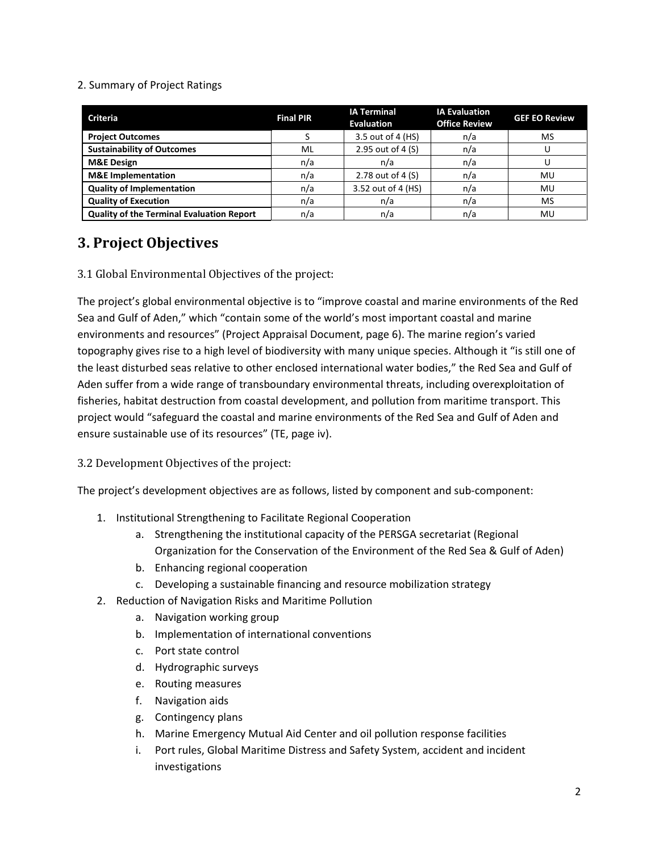#### 2. Summary of Project Ratings

| <b>Criteria</b>                           | <b>Final PIR</b> | <b>IA Terminal</b><br><b>Evaluation</b> | <b>IA Evaluation</b><br><b>Office Review</b> | <b>GEF EO Review</b> |
|-------------------------------------------|------------------|-----------------------------------------|----------------------------------------------|----------------------|
| <b>Project Outcomes</b>                   |                  | 3.5 out of 4 (HS)                       | n/a                                          | MS                   |
| <b>Sustainability of Outcomes</b>         | ML               | 2.95 out of 4 (S)                       | n/a                                          |                      |
| <b>M&amp;E Design</b>                     | n/a              | n/a                                     | n/a                                          |                      |
| <b>M&amp;E</b> Implementation             | n/a              | 2.78 out of 4 (S)                       | n/a                                          | MU                   |
| <b>Quality of Implementation</b>          | n/a              | 3.52 out of 4 (HS)                      | n/a                                          | MU                   |
| <b>Quality of Execution</b>               | n/a              | n/a                                     | n/a                                          | MS                   |
| Quality of the Terminal Evaluation Report | n/a              | n/a                                     | n/a                                          | MU                   |

## **3. Project Objectives**

3.1 Global Environmental Objectives of the project:

The project's global environmental objective is to "improve coastal and marine environments of the Red Sea and Gulf of Aden," which "contain some of the world's most important coastal and marine environments and resources" (Project Appraisal Document, page 6). The marine region's varied topography gives rise to a high level of biodiversity with many unique species. Although it "is still one of the least disturbed seas relative to other enclosed international water bodies," the Red Sea and Gulf of Aden suffer from a wide range of transboundary environmental threats, including overexploitation of fisheries, habitat destruction from coastal development, and pollution from maritime transport. This project would "safeguard the coastal and marine environments of the Red Sea and Gulf of Aden and ensure sustainable use of its resources" (TE, page iv).

3.2 Development Objectives of the project:

The project's development objectives are as follows, listed by component and sub-component:

- 1. Institutional Strengthening to Facilitate Regional Cooperation
	- a. Strengthening the institutional capacity of the PERSGA secretariat (Regional Organization for the Conservation of the Environment of the Red Sea & Gulf of Aden)
	- b. Enhancing regional cooperation
	- c. Developing a sustainable financing and resource mobilization strategy
- 2. Reduction of Navigation Risks and Maritime Pollution
	- a. Navigation working group
	- b. Implementation of international conventions
	- c. Port state control
	- d. Hydrographic surveys
	- e. Routing measures
	- f. Navigation aids
	- g. Contingency plans
	- h. Marine Emergency Mutual Aid Center and oil pollution response facilities
	- i. Port rules, Global Maritime Distress and Safety System, accident and incident investigations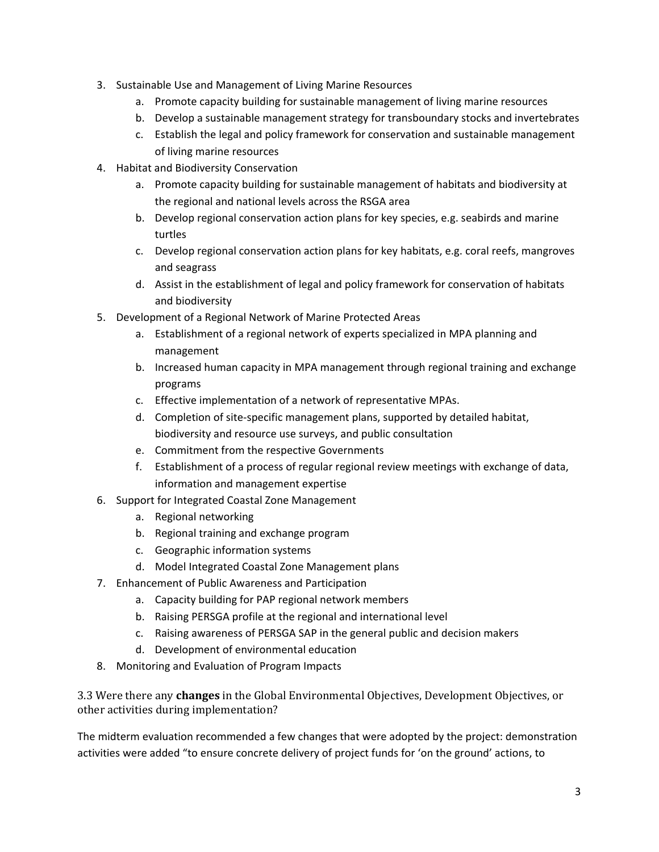- 3. Sustainable Use and Management of Living Marine Resources
	- a. Promote capacity building for sustainable management of living marine resources
	- b. Develop a sustainable management strategy for transboundary stocks and invertebrates
	- c. Establish the legal and policy framework for conservation and sustainable management of living marine resources
- 4. Habitat and Biodiversity Conservation
	- a. Promote capacity building for sustainable management of habitats and biodiversity at the regional and national levels across the RSGA area
	- b. Develop regional conservation action plans for key species, e.g. seabirds and marine turtles
	- c. Develop regional conservation action plans for key habitats, e.g. coral reefs, mangroves and seagrass
	- d. Assist in the establishment of legal and policy framework for conservation of habitats and biodiversity
- 5. Development of a Regional Network of Marine Protected Areas
	- a. Establishment of a regional network of experts specialized in MPA planning and management
	- b. Increased human capacity in MPA management through regional training and exchange programs
	- c. Effective implementation of a network of representative MPAs.
	- d. Completion of site-specific management plans, supported by detailed habitat, biodiversity and resource use surveys, and public consultation
	- e. Commitment from the respective Governments
	- f. Establishment of a process of regular regional review meetings with exchange of data, information and management expertise
- 6. Support for Integrated Coastal Zone Management
	- a. Regional networking
	- b. Regional training and exchange program
	- c. Geographic information systems
	- d. Model Integrated Coastal Zone Management plans
- 7. Enhancement of Public Awareness and Participation
	- a. Capacity building for PAP regional network members
	- b. Raising PERSGA profile at the regional and international level
	- c. Raising awareness of PERSGA SAP in the general public and decision makers
	- d. Development of environmental education
- 8. Monitoring and Evaluation of Program Impacts

3.3 Were there any **changes** in the Global Environmental Objectives, Development Objectives, or other activities during implementation?

The midterm evaluation recommended a few changes that were adopted by the project: demonstration activities were added "to ensure concrete delivery of project funds for 'on the ground' actions, to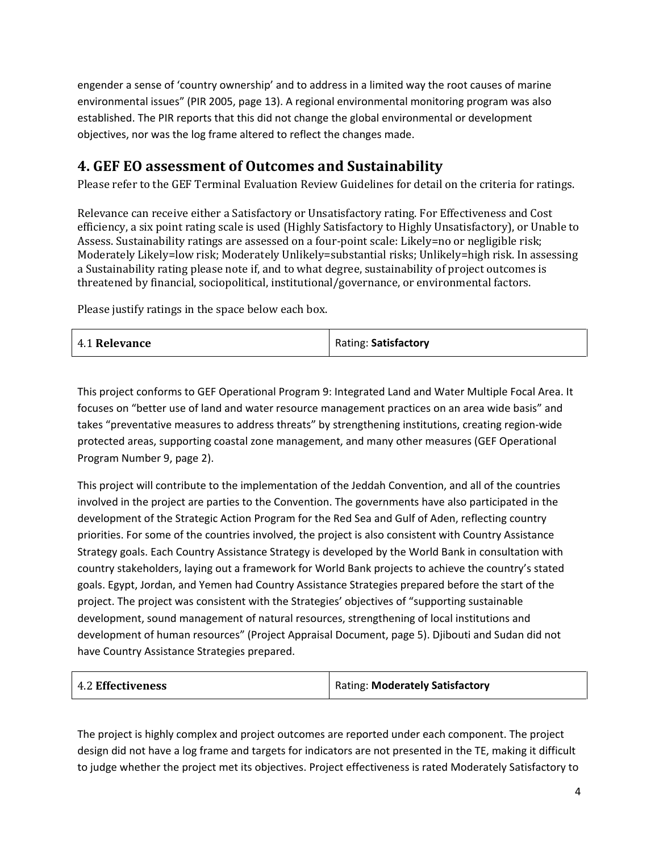engender a sense of 'country ownership' and to address in a limited way the root causes of marine environmental issues" (PIR 2005, page 13). A regional environmental monitoring program was also established. The PIR reports that this did not change the global environmental or development objectives, nor was the log frame altered to reflect the changes made.

### **4. GEF EO assessment of Outcomes and Sustainability**

Please refer to the GEF Terminal Evaluation Review Guidelines for detail on the criteria for ratings.

Relevance can receive either a Satisfactory or Unsatisfactory rating. For Effectiveness and Cost efficiency, a six point rating scale is used (Highly Satisfactory to Highly Unsatisfactory), or Unable to Assess. Sustainability ratings are assessed on a four-point scale: Likely=no or negligible risk; Moderately Likely=low risk; Moderately Unlikely=substantial risks; Unlikely=high risk. In assessing a Sustainability rating please note if, and to what degree, sustainability of project outcomes is threatened by financial, sociopolitical, institutional/governance, or environmental factors.

Please justify ratings in the space below each box.

| 4.1 Relevance | Rating: Satisfactory |
|---------------|----------------------|
|---------------|----------------------|

This project conforms to GEF Operational Program 9: Integrated Land and Water Multiple Focal Area. It focuses on "better use of land and water resource management practices on an area wide basis" and takes "preventative measures to address threats" by strengthening institutions, creating region-wide protected areas, supporting coastal zone management, and many other measures (GEF Operational Program Number 9, page 2).

This project will contribute to the implementation of the Jeddah Convention, and all of the countries involved in the project are parties to the Convention. The governments have also participated in the development of the Strategic Action Program for the Red Sea and Gulf of Aden, reflecting country priorities. For some of the countries involved, the project is also consistent with Country Assistance Strategy goals. Each Country Assistance Strategy is developed by the World Bank in consultation with country stakeholders, laying out a framework for World Bank projects to achieve the country's stated goals. Egypt, Jordan, and Yemen had Country Assistance Strategies prepared before the start of the project. The project was consistent with the Strategies' objectives of "supporting sustainable development, sound management of natural resources, strengthening of local institutions and development of human resources" (Project Appraisal Document, page 5). Djibouti and Sudan did not have Country Assistance Strategies prepared.

| 4.2 Effectiveness | Rating: Moderately Satisfactory |
|-------------------|---------------------------------|
|                   |                                 |

The project is highly complex and project outcomes are reported under each component. The project design did not have a log frame and targets for indicators are not presented in the TE, making it difficult to judge whether the project met its objectives. Project effectiveness is rated Moderately Satisfactory to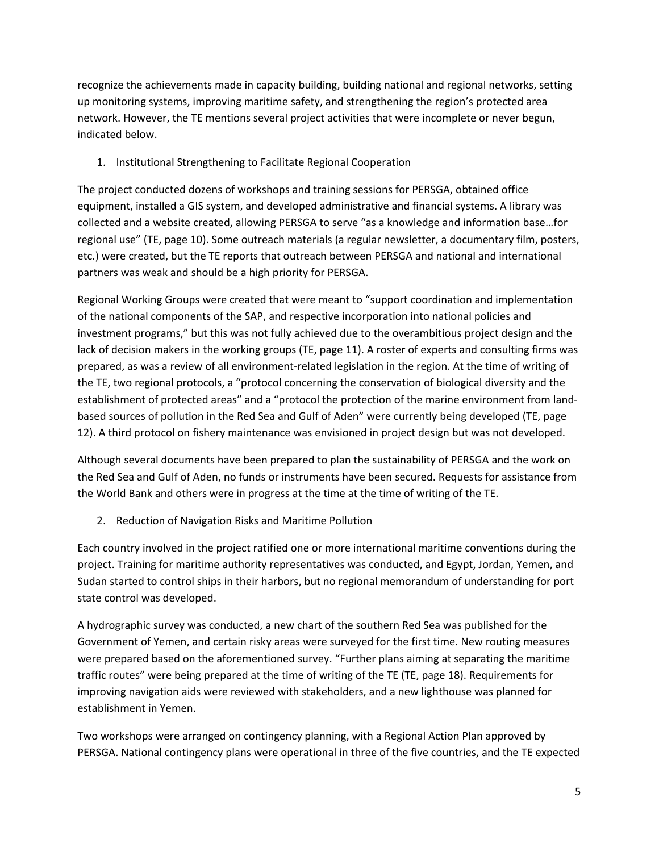recognize the achievements made in capacity building, building national and regional networks, setting up monitoring systems, improving maritime safety, and strengthening the region's protected area network. However, the TE mentions several project activities that were incomplete or never begun, indicated below.

#### 1. Institutional Strengthening to Facilitate Regional Cooperation

The project conducted dozens of workshops and training sessions for PERSGA, obtained office equipment, installed a GIS system, and developed administrative and financial systems. A library was collected and a website created, allowing PERSGA to serve "as a knowledge and information base…for regional use" (TE, page 10). Some outreach materials (a regular newsletter, a documentary film, posters, etc.) were created, but the TE reports that outreach between PERSGA and national and international partners was weak and should be a high priority for PERSGA.

Regional Working Groups were created that were meant to "support coordination and implementation of the national components of the SAP, and respective incorporation into national policies and investment programs," but this was not fully achieved due to the overambitious project design and the lack of decision makers in the working groups (TE, page 11). A roster of experts and consulting firms was prepared, as was a review of all environment-related legislation in the region. At the time of writing of the TE, two regional protocols, a "protocol concerning the conservation of biological diversity and the establishment of protected areas" and a "protocol the protection of the marine environment from landbased sources of pollution in the Red Sea and Gulf of Aden" were currently being developed (TE, page 12). A third protocol on fishery maintenance was envisioned in project design but was not developed.

Although several documents have been prepared to plan the sustainability of PERSGA and the work on the Red Sea and Gulf of Aden, no funds or instruments have been secured. Requests for assistance from the World Bank and others were in progress at the time at the time of writing of the TE.

2. Reduction of Navigation Risks and Maritime Pollution

Each country involved in the project ratified one or more international maritime conventions during the project. Training for maritime authority representatives was conducted, and Egypt, Jordan, Yemen, and Sudan started to control ships in their harbors, but no regional memorandum of understanding for port state control was developed.

A hydrographic survey was conducted, a new chart of the southern Red Sea was published for the Government of Yemen, and certain risky areas were surveyed for the first time. New routing measures were prepared based on the aforementioned survey. "Further plans aiming at separating the maritime traffic routes" were being prepared at the time of writing of the TE (TE, page 18). Requirements for improving navigation aids were reviewed with stakeholders, and a new lighthouse was planned for establishment in Yemen.

Two workshops were arranged on contingency planning, with a Regional Action Plan approved by PERSGA. National contingency plans were operational in three of the five countries, and the TE expected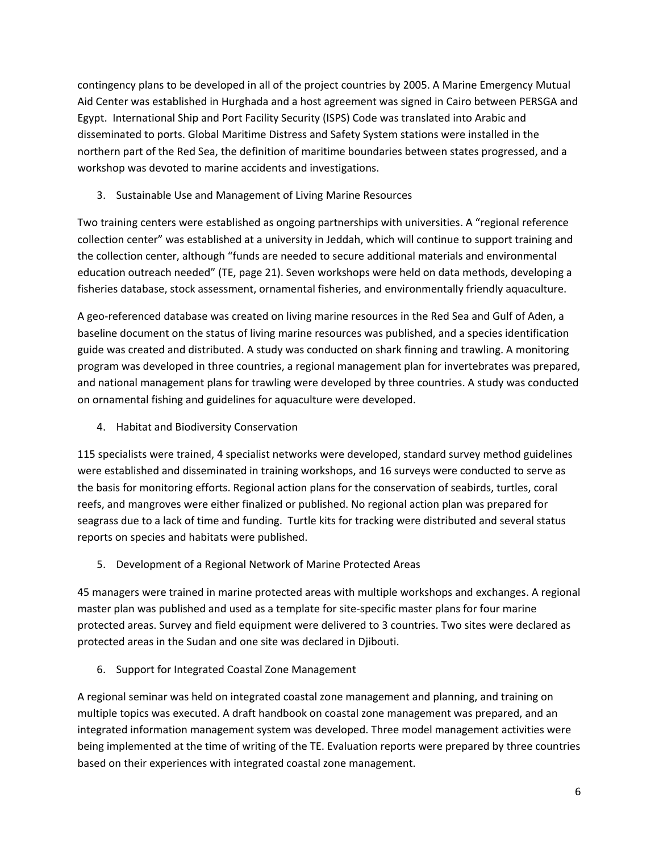contingency plans to be developed in all of the project countries by 2005. A Marine Emergency Mutual Aid Center was established in Hurghada and a host agreement was signed in Cairo between PERSGA and Egypt. International Ship and Port Facility Security (ISPS) Code was translated into Arabic and disseminated to ports. Global Maritime Distress and Safety System stations were installed in the northern part of the Red Sea, the definition of maritime boundaries between states progressed, and a workshop was devoted to marine accidents and investigations.

3. Sustainable Use and Management of Living Marine Resources

Two training centers were established as ongoing partnerships with universities. A "regional reference collection center" was established at a university in Jeddah, which will continue to support training and the collection center, although "funds are needed to secure additional materials and environmental education outreach needed" (TE, page 21). Seven workshops were held on data methods, developing a fisheries database, stock assessment, ornamental fisheries, and environmentally friendly aquaculture.

A geo-referenced database was created on living marine resources in the Red Sea and Gulf of Aden, a baseline document on the status of living marine resources was published, and a species identification guide was created and distributed. A study was conducted on shark finning and trawling. A monitoring program was developed in three countries, a regional management plan for invertebrates was prepared, and national management plans for trawling were developed by three countries. A study was conducted on ornamental fishing and guidelines for aquaculture were developed.

4. Habitat and Biodiversity Conservation

115 specialists were trained, 4 specialist networks were developed, standard survey method guidelines were established and disseminated in training workshops, and 16 surveys were conducted to serve as the basis for monitoring efforts. Regional action plans for the conservation of seabirds, turtles, coral reefs, and mangroves were either finalized or published. No regional action plan was prepared for seagrass due to a lack of time and funding. Turtle kits for tracking were distributed and several status reports on species and habitats were published.

5. Development of a Regional Network of Marine Protected Areas

45 managers were trained in marine protected areas with multiple workshops and exchanges. A regional master plan was published and used as a template for site-specific master plans for four marine protected areas. Survey and field equipment were delivered to 3 countries. Two sites were declared as protected areas in the Sudan and one site was declared in Djibouti.

6. Support for Integrated Coastal Zone Management

A regional seminar was held on integrated coastal zone management and planning, and training on multiple topics was executed. A draft handbook on coastal zone management was prepared, and an integrated information management system was developed. Three model management activities were being implemented at the time of writing of the TE. Evaluation reports were prepared by three countries based on their experiences with integrated coastal zone management.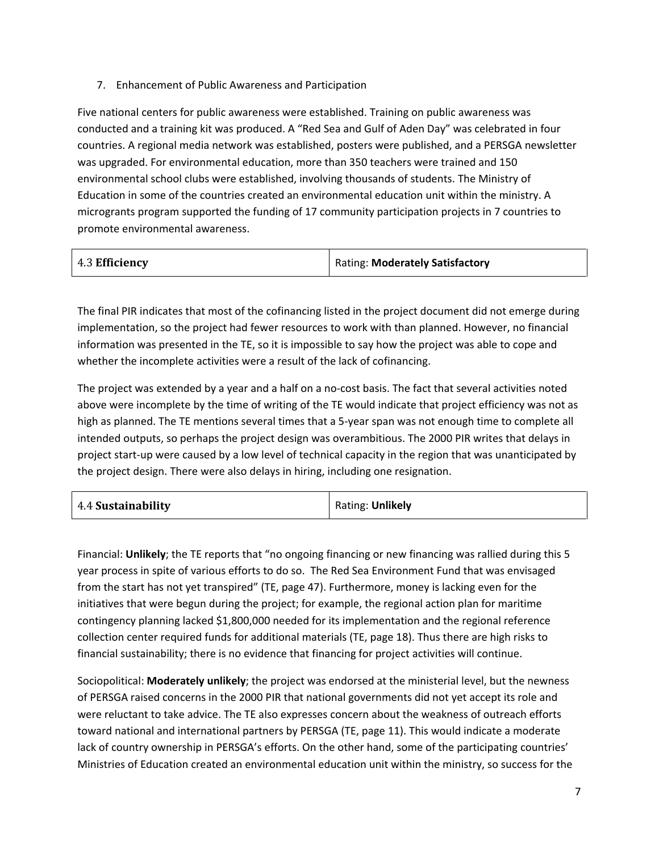7. Enhancement of Public Awareness and Participation

Five national centers for public awareness were established. Training on public awareness was conducted and a training kit was produced. A "Red Sea and Gulf of Aden Day" was celebrated in four countries. A regional media network was established, posters were published, and a PERSGA newsletter was upgraded. For environmental education, more than 350 teachers were trained and 150 environmental school clubs were established, involving thousands of students. The Ministry of Education in some of the countries created an environmental education unit within the ministry. A microgrants program supported the funding of 17 community participation projects in 7 countries to promote environmental awareness.

| 4.3 Efficiency | Rating: Moderately Satisfactory |
|----------------|---------------------------------|
|----------------|---------------------------------|

The final PIR indicates that most of the cofinancing listed in the project document did not emerge during implementation, so the project had fewer resources to work with than planned. However, no financial information was presented in the TE, so it is impossible to say how the project was able to cope and whether the incomplete activities were a result of the lack of cofinancing.

The project was extended by a year and a half on a no-cost basis. The fact that several activities noted above were incomplete by the time of writing of the TE would indicate that project efficiency was not as high as planned. The TE mentions several times that a 5-year span was not enough time to complete all intended outputs, so perhaps the project design was overambitious. The 2000 PIR writes that delays in project start-up were caused by a low level of technical capacity in the region that was unanticipated by the project design. There were also delays in hiring, including one resignation.

| 4.4 Sustainability | Rating: Unlikely |
|--------------------|------------------|
|--------------------|------------------|

Financial: **Unlikely**; the TE reports that "no ongoing financing or new financing was rallied during this 5 year process in spite of various efforts to do so. The Red Sea Environment Fund that was envisaged from the start has not yet transpired" (TE, page 47). Furthermore, money is lacking even for the initiatives that were begun during the project; for example, the regional action plan for maritime contingency planning lacked \$1,800,000 needed for its implementation and the regional reference collection center required funds for additional materials (TE, page 18). Thus there are high risks to financial sustainability; there is no evidence that financing for project activities will continue.

Sociopolitical: **Moderately unlikely**; the project was endorsed at the ministerial level, but the newness of PERSGA raised concerns in the 2000 PIR that national governments did not yet accept its role and were reluctant to take advice. The TE also expresses concern about the weakness of outreach efforts toward national and international partners by PERSGA (TE, page 11). This would indicate a moderate lack of country ownership in PERSGA's efforts. On the other hand, some of the participating countries' Ministries of Education created an environmental education unit within the ministry, so success for the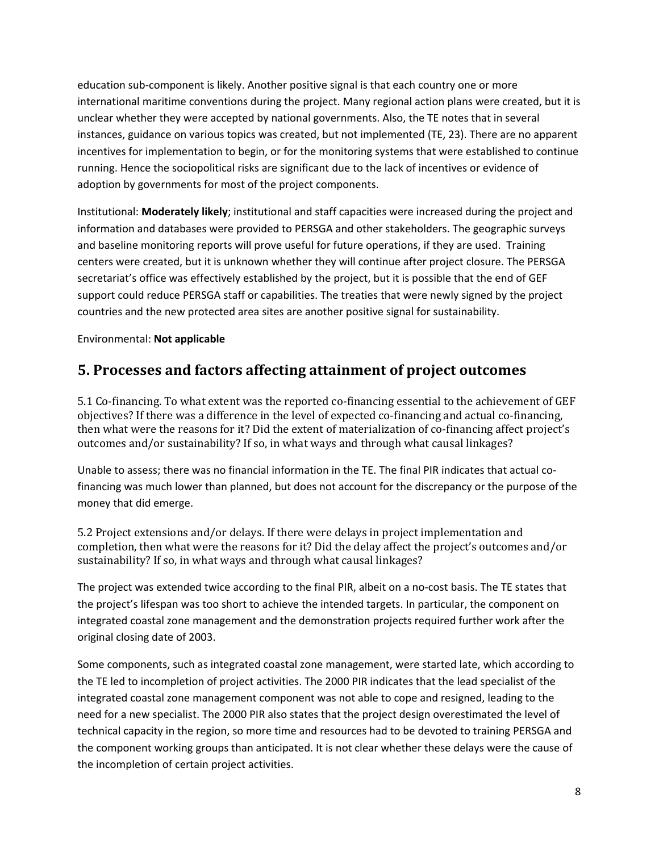education sub-component is likely. Another positive signal is that each country one or more international maritime conventions during the project. Many regional action plans were created, but it is unclear whether they were accepted by national governments. Also, the TE notes that in several instances, guidance on various topics was created, but not implemented (TE, 23). There are no apparent incentives for implementation to begin, or for the monitoring systems that were established to continue running. Hence the sociopolitical risks are significant due to the lack of incentives or evidence of adoption by governments for most of the project components.

Institutional: **Moderately likely**; institutional and staff capacities were increased during the project and information and databases were provided to PERSGA and other stakeholders. The geographic surveys and baseline monitoring reports will prove useful for future operations, if they are used. Training centers were created, but it is unknown whether they will continue after project closure. The PERSGA secretariat's office was effectively established by the project, but it is possible that the end of GEF support could reduce PERSGA staff or capabilities. The treaties that were newly signed by the project countries and the new protected area sites are another positive signal for sustainability.

#### Environmental: **Not applicable**

#### **5. Processes and factors affecting attainment of project outcomes**

5.1 Co-financing. To what extent was the reported co-financing essential to the achievement of GEF objectives? If there was a difference in the level of expected co-financing and actual co-financing, then what were the reasons for it? Did the extent of materialization of co-financing affect project's outcomes and/or sustainability? If so, in what ways and through what causal linkages?

Unable to assess; there was no financial information in the TE. The final PIR indicates that actual cofinancing was much lower than planned, but does not account for the discrepancy or the purpose of the money that did emerge.

5.2 Project extensions and/or delays. If there were delays in project implementation and completion, then what were the reasons for it? Did the delay affect the project's outcomes and/or sustainability? If so, in what ways and through what causal linkages?

The project was extended twice according to the final PIR, albeit on a no-cost basis. The TE states that the project's lifespan was too short to achieve the intended targets. In particular, the component on integrated coastal zone management and the demonstration projects required further work after the original closing date of 2003.

Some components, such as integrated coastal zone management, were started late, which according to the TE led to incompletion of project activities. The 2000 PIR indicates that the lead specialist of the integrated coastal zone management component was not able to cope and resigned, leading to the need for a new specialist. The 2000 PIR also states that the project design overestimated the level of technical capacity in the region, so more time and resources had to be devoted to training PERSGA and the component working groups than anticipated. It is not clear whether these delays were the cause of the incompletion of certain project activities.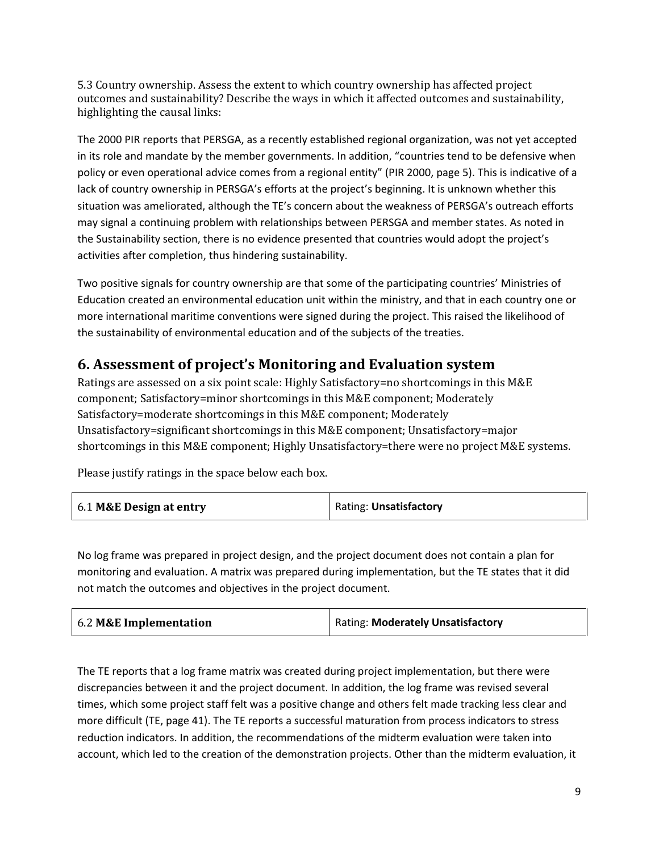5.3 Country ownership. Assess the extent to which country ownership has affected project outcomes and sustainability? Describe the ways in which it affected outcomes and sustainability, highlighting the causal links:

The 2000 PIR reports that PERSGA, as a recently established regional organization, was not yet accepted in its role and mandate by the member governments. In addition, "countries tend to be defensive when policy or even operational advice comes from a regional entity" (PIR 2000, page 5). This is indicative of a lack of country ownership in PERSGA's efforts at the project's beginning. It is unknown whether this situation was ameliorated, although the TE's concern about the weakness of PERSGA's outreach efforts may signal a continuing problem with relationships between PERSGA and member states. As noted in the Sustainability section, there is no evidence presented that countries would adopt the project's activities after completion, thus hindering sustainability.

Two positive signals for country ownership are that some of the participating countries' Ministries of Education created an environmental education unit within the ministry, and that in each country one or more international maritime conventions were signed during the project. This raised the likelihood of the sustainability of environmental education and of the subjects of the treaties.

### **6. Assessment of project's Monitoring and Evaluation system**

Ratings are assessed on a six point scale: Highly Satisfactory=no shortcomings in this M&E component; Satisfactory=minor shortcomings in this M&E component; Moderately Satisfactory=moderate shortcomings in this M&E component; Moderately Unsatisfactory=significant shortcomings in this M&E component; Unsatisfactory=major shortcomings in this M&E component; Highly Unsatisfactory=there were no project M&E systems.

Please justify ratings in the space below each box.

| 6.1 M&E Design at entry | Rating: Unsatisfactory |
|-------------------------|------------------------|
|-------------------------|------------------------|

No log frame was prepared in project design, and the project document does not contain a plan for monitoring and evaluation. A matrix was prepared during implementation, but the TE states that it did not match the outcomes and objectives in the project document.

|--|

The TE reports that a log frame matrix was created during project implementation, but there were discrepancies between it and the project document. In addition, the log frame was revised several times, which some project staff felt was a positive change and others felt made tracking less clear and more difficult (TE, page 41). The TE reports a successful maturation from process indicators to stress reduction indicators. In addition, the recommendations of the midterm evaluation were taken into account, which led to the creation of the demonstration projects. Other than the midterm evaluation, it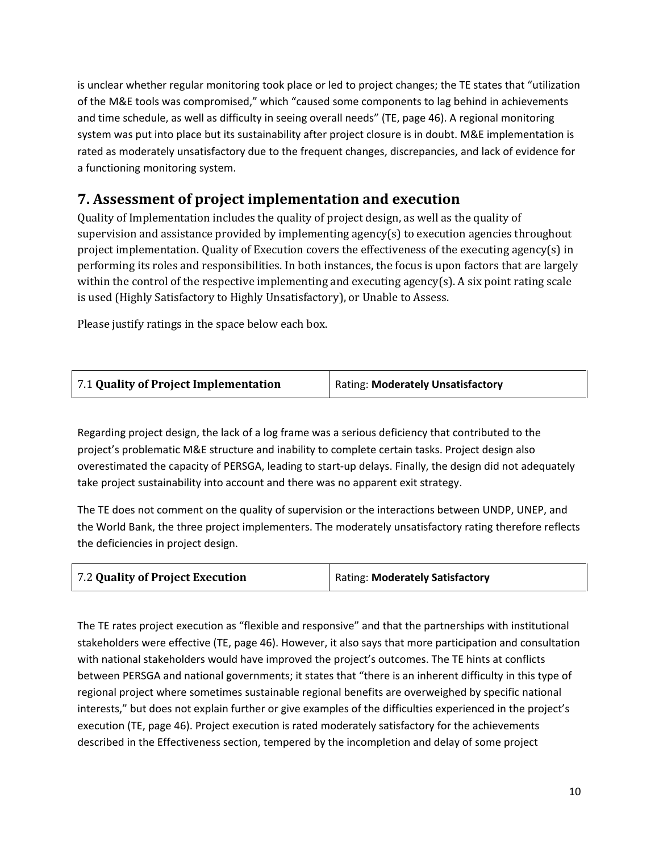is unclear whether regular monitoring took place or led to project changes; the TE states that "utilization of the M&E tools was compromised," which "caused some components to lag behind in achievements and time schedule, as well as difficulty in seeing overall needs" (TE, page 46). A regional monitoring system was put into place but its sustainability after project closure is in doubt. M&E implementation is rated as moderately unsatisfactory due to the frequent changes, discrepancies, and lack of evidence for a functioning monitoring system.

### **7. Assessment of project implementation and execution**

Quality of Implementation includes the quality of project design, as well as the quality of supervision and assistance provided by implementing agency(s) to execution agencies throughout project implementation. Quality of Execution covers the effectiveness of the executing agency(s) in performing its roles and responsibilities. In both instances, the focus is upon factors that are largely within the control of the respective implementing and executing agency(s). A six point rating scale is used (Highly Satisfactory to Highly Unsatisfactory), or Unable to Assess.

Please justify ratings in the space below each box.

| Rating: Moderately Unsatisfactory |
|-----------------------------------|
|                                   |

Regarding project design, the lack of a log frame was a serious deficiency that contributed to the project's problematic M&E structure and inability to complete certain tasks. Project design also overestimated the capacity of PERSGA, leading to start-up delays. Finally, the design did not adequately take project sustainability into account and there was no apparent exit strategy.

The TE does not comment on the quality of supervision or the interactions between UNDP, UNEP, and the World Bank, the three project implementers. The moderately unsatisfactory rating therefore reflects the deficiencies in project design.

| 7.2 Quality of Project Execution | Rating: Moderately Satisfactory |
|----------------------------------|---------------------------------|
|                                  |                                 |

The TE rates project execution as "flexible and responsive" and that the partnerships with institutional stakeholders were effective (TE, page 46). However, it also says that more participation and consultation with national stakeholders would have improved the project's outcomes. The TE hints at conflicts between PERSGA and national governments; it states that "there is an inherent difficulty in this type of regional project where sometimes sustainable regional benefits are overweighed by specific national interests," but does not explain further or give examples of the difficulties experienced in the project's execution (TE, page 46). Project execution is rated moderately satisfactory for the achievements described in the Effectiveness section, tempered by the incompletion and delay of some project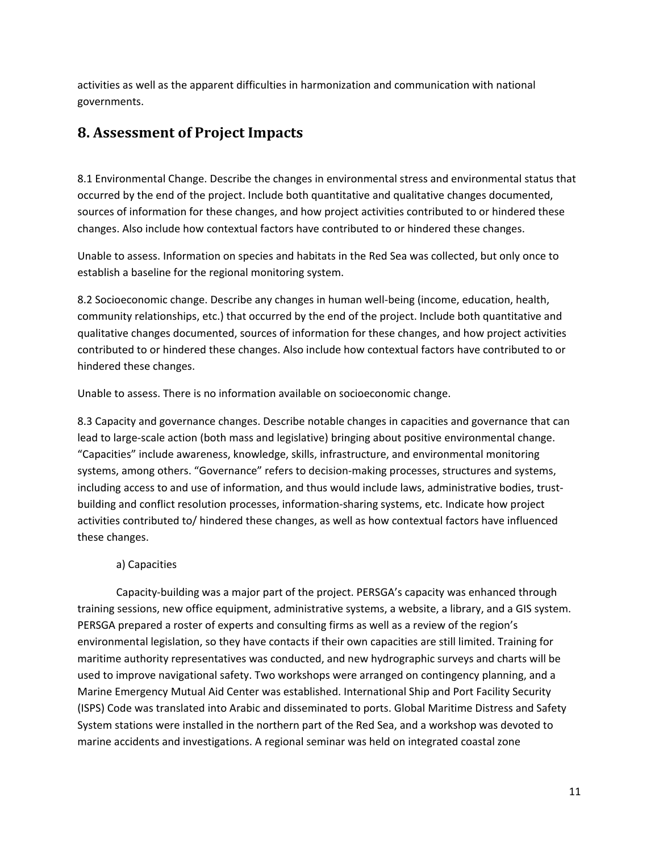activities as well as the apparent difficulties in harmonization and communication with national governments.

### **8. Assessment of Project Impacts**

8.1 Environmental Change. Describe the changes in environmental stress and environmental status that occurred by the end of the project. Include both quantitative and qualitative changes documented, sources of information for these changes, and how project activities contributed to or hindered these changes. Also include how contextual factors have contributed to or hindered these changes.

Unable to assess. Information on species and habitats in the Red Sea was collected, but only once to establish a baseline for the regional monitoring system.

8.2 Socioeconomic change. Describe any changes in human well-being (income, education, health, community relationships, etc.) that occurred by the end of the project. Include both quantitative and qualitative changes documented, sources of information for these changes, and how project activities contributed to or hindered these changes. Also include how contextual factors have contributed to or hindered these changes.

Unable to assess. There is no information available on socioeconomic change.

8.3 Capacity and governance changes. Describe notable changes in capacities and governance that can lead to large-scale action (both mass and legislative) bringing about positive environmental change. "Capacities" include awareness, knowledge, skills, infrastructure, and environmental monitoring systems, among others. "Governance" refers to decision-making processes, structures and systems, including access to and use of information, and thus would include laws, administrative bodies, trustbuilding and conflict resolution processes, information-sharing systems, etc. Indicate how project activities contributed to/ hindered these changes, as well as how contextual factors have influenced these changes.

#### a) Capacities

Capacity-building was a major part of the project. PERSGA's capacity was enhanced through training sessions, new office equipment, administrative systems, a website, a library, and a GIS system. PERSGA prepared a roster of experts and consulting firms as well as a review of the region's environmental legislation, so they have contacts if their own capacities are still limited. Training for maritime authority representatives was conducted, and new hydrographic surveys and charts will be used to improve navigational safety. Two workshops were arranged on contingency planning, and a Marine Emergency Mutual Aid Center was established. International Ship and Port Facility Security (ISPS) Code was translated into Arabic and disseminated to ports. Global Maritime Distress and Safety System stations were installed in the northern part of the Red Sea, and a workshop was devoted to marine accidents and investigations. A regional seminar was held on integrated coastal zone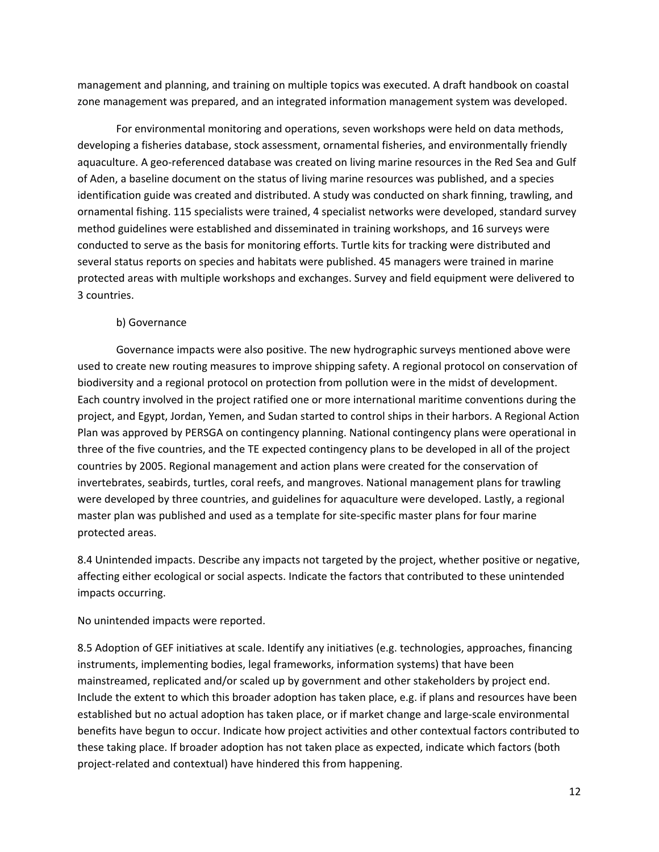management and planning, and training on multiple topics was executed. A draft handbook on coastal zone management was prepared, and an integrated information management system was developed.

For environmental monitoring and operations, seven workshops were held on data methods, developing a fisheries database, stock assessment, ornamental fisheries, and environmentally friendly aquaculture. A geo-referenced database was created on living marine resources in the Red Sea and Gulf of Aden, a baseline document on the status of living marine resources was published, and a species identification guide was created and distributed. A study was conducted on shark finning, trawling, and ornamental fishing. 115 specialists were trained, 4 specialist networks were developed, standard survey method guidelines were established and disseminated in training workshops, and 16 surveys were conducted to serve as the basis for monitoring efforts. Turtle kits for tracking were distributed and several status reports on species and habitats were published. 45 managers were trained in marine protected areas with multiple workshops and exchanges. Survey and field equipment were delivered to 3 countries.

#### b) Governance

Governance impacts were also positive. The new hydrographic surveys mentioned above were used to create new routing measures to improve shipping safety. A regional protocol on conservation of biodiversity and a regional protocol on protection from pollution were in the midst of development. Each country involved in the project ratified one or more international maritime conventions during the project, and Egypt, Jordan, Yemen, and Sudan started to control ships in their harbors. A Regional Action Plan was approved by PERSGA on contingency planning. National contingency plans were operational in three of the five countries, and the TE expected contingency plans to be developed in all of the project countries by 2005. Regional management and action plans were created for the conservation of invertebrates, seabirds, turtles, coral reefs, and mangroves. National management plans for trawling were developed by three countries, and guidelines for aquaculture were developed. Lastly, a regional master plan was published and used as a template for site-specific master plans for four marine protected areas.

8.4 Unintended impacts. Describe any impacts not targeted by the project, whether positive or negative, affecting either ecological or social aspects. Indicate the factors that contributed to these unintended impacts occurring.

No unintended impacts were reported.

8.5 Adoption of GEF initiatives at scale. Identify any initiatives (e.g. technologies, approaches, financing instruments, implementing bodies, legal frameworks, information systems) that have been mainstreamed, replicated and/or scaled up by government and other stakeholders by project end. Include the extent to which this broader adoption has taken place, e.g. if plans and resources have been established but no actual adoption has taken place, or if market change and large-scale environmental benefits have begun to occur. Indicate how project activities and other contextual factors contributed to these taking place. If broader adoption has not taken place as expected, indicate which factors (both project-related and contextual) have hindered this from happening.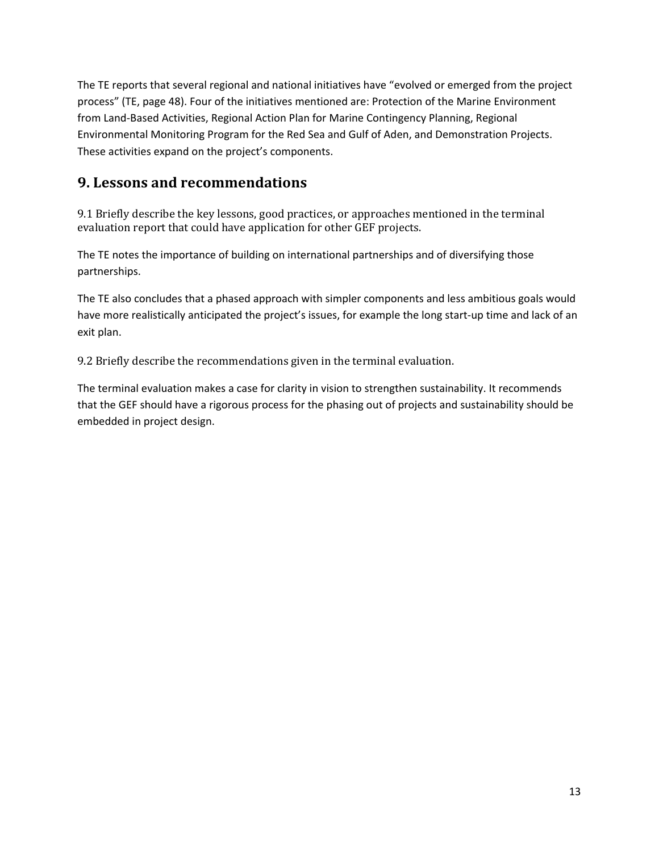The TE reports that several regional and national initiatives have "evolved or emerged from the project process" (TE, page 48). Four of the initiatives mentioned are: Protection of the Marine Environment from Land-Based Activities, Regional Action Plan for Marine Contingency Planning, Regional Environmental Monitoring Program for the Red Sea and Gulf of Aden, and Demonstration Projects. These activities expand on the project's components.

### **9. Lessons and recommendations**

9.1 Briefly describe the key lessons, good practices, or approaches mentioned in the terminal evaluation report that could have application for other GEF projects.

The TE notes the importance of building on international partnerships and of diversifying those partnerships.

The TE also concludes that a phased approach with simpler components and less ambitious goals would have more realistically anticipated the project's issues, for example the long start-up time and lack of an exit plan.

9.2 Briefly describe the recommendations given in the terminal evaluation.

The terminal evaluation makes a case for clarity in vision to strengthen sustainability. It recommends that the GEF should have a rigorous process for the phasing out of projects and sustainability should be embedded in project design.